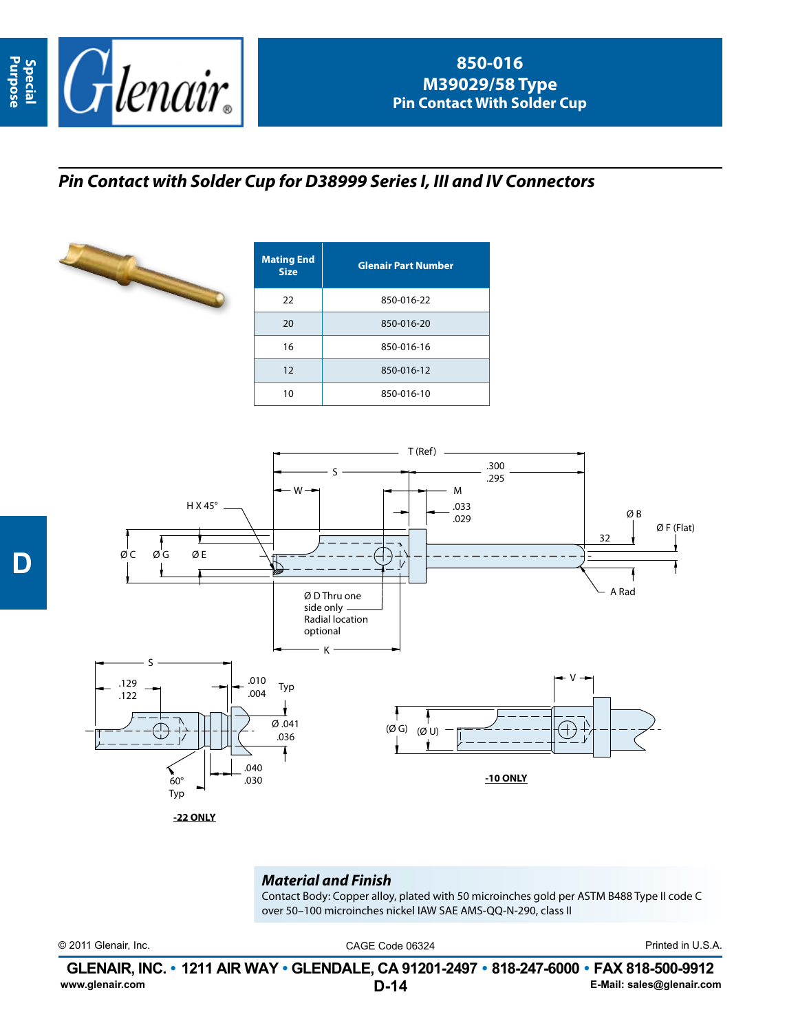

## *Pin Contact with Solder Cup for D38999 Series I, III and IV Connectors*



| <b>Mating End</b><br><b>Size</b> | <b>Glenair Part Number</b> |  |  |  |
|----------------------------------|----------------------------|--|--|--|
| 22                               | 850-016-22                 |  |  |  |
| 20                               | 850-016-20                 |  |  |  |
| 16                               | 850-016-16                 |  |  |  |
| 12                               | 850-016-12                 |  |  |  |
| 10                               | 850-016-10                 |  |  |  |



*Material and Finish*

Contact Body: Copper alloy, plated with 50 microinches gold per ASTM B488 Type II code C over 50–100 microinches nickel IAW SAE AMS-QQ-N-290, class II

© 2011 Glenair, Inc. CAGE Code 06324 Printed in U.S.A.

**D-14 GLENAIR, INC. • 1211 AIR WAY • GLENDALE, CA 91201-2497 • 818-247-6000 • FAX 818-500-9912**<br>E-Mail: sales@glenair.com **www.glenair.com E-Mail: sales@glenair.com**